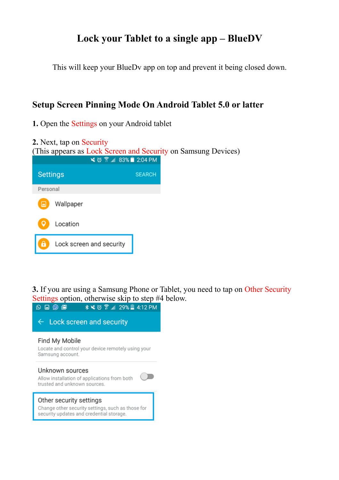## **Lock your Tablet to a single app – BlueDV**

This will keep your BlueDv app on top and prevent it being closed down.

### **Setup Screen Pinning Mode On Android Tablet 5.0 or latter**

**1.** Open the Settings on your Android tablet



**3.** If you are using a Samsung Phone or Tablet, you need to tap on Other Security Settings option, otherwise skip to step #4 below.

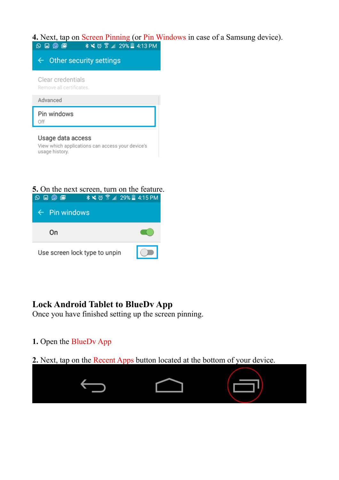# **4.** Next, tap on Screen Pinning (or Pin Windows in case of a Samsung device).<br>  $\bigcirc \bigcirc \bigcirc \bigcirc \bigcirc \bigcirc$



## **5.** On the next screen, turn on the feature.<br>  $\circ$   $\circ$   $\circ$   $\circ$   $\bullet$   $*$   $*$   $\circ$   $\circ$   $*$   $\bullet$  129% 4:15 PM



#### **Lock Android Tablet to BlueDv App**

Once you have finished setting up the screen pinning.

**1.** Open the BlueDv App

#### **2.** Next, tap on the Recent Apps button located at the bottom of your device.